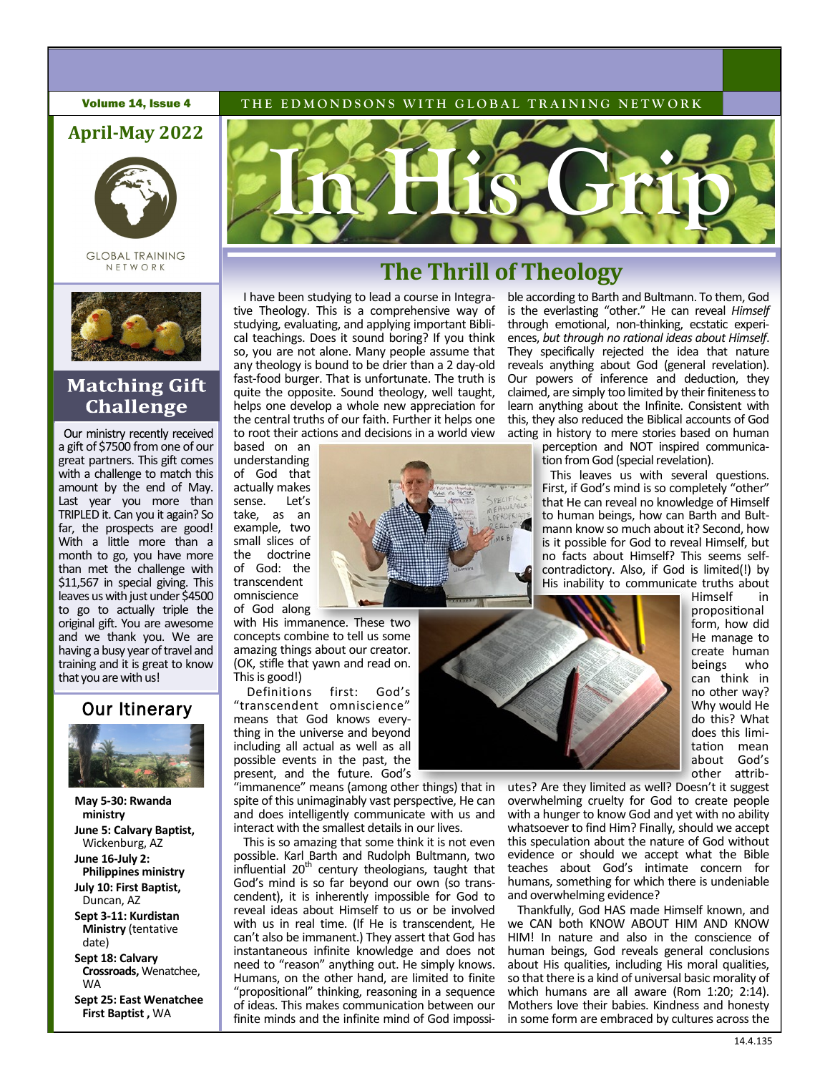



**GLOBAL TRAINING** NETWORK



# **Matching Gift Challenge**

Our ministry recently received a gift of \$7500 from one of our great partners. This gift comes with a challenge to match this amount by the end of May. Last year you more than TRIPLED it. Can you it again? So far, the prospects are good! With a little more than a month to go, you have more than met the challenge with \$11,567 in special giving. This leaves us with just under \$4500 to go to actually triple the original gift. You are awesome and we thank you. We are having a busy year of travel and training and it is great to know that you are with us!

# Our Itinerary.



- **May 5-30: Rwanda ministry June 5: Calvary Baptist,**  Wickenburg, AZ **June 16-July 2: Philippines ministry July 10: First Baptist,**  Duncan, AZ **Sept 3-11: Kurdistan**
- **Ministry** (tentative date)
- **Sept 18: Calvary Crossroads,** Wenatchee, WA
- **Sept 25: East Wenatchee First Baptist ,** WA





# **The Thrill of Theology**

I have been studying to lead a course in Integrative Theology. This is a comprehensive way of studying, evaluating, and applying important Biblical teachings. Does it sound boring? If you think so, you are not alone. Many people assume that any theology is bound to be drier than a 2 day-old fast-food burger. That is unfortunate. The truth is quite the opposite. Sound theology, well taught, helps one develop a whole new appreciation for the central truths of our faith. Further it helps one to root their actions and decisions in a world view

based on an understanding of God that actually makes<br>sense. Let's sense. take, as an example, two small slices of<br>the doctrine doctrine of God: the transcendent omniscience of God along

with His immanence. These two concepts combine to tell us some amazing things about our creator. (OK, stifle that yawn and read on. This is good!)

Definitions first: God's "transcendent omniscience" means that God knows everything in the universe and beyond including all actual as well as all possible events in the past, the present, and the future. God's

"immanence" means (among other things) that in spite of this unimaginably vast perspective, He can and does intelligently communicate with us and interact with the smallest details in our lives.

This is so amazing that some think it is not even possible. Karl Barth and Rudolph Bultmann, two influential 20<sup>th</sup> century theologians, taught that God's mind is so far beyond our own (so transcendent), it is inherently impossible for God to reveal ideas about Himself to us or be involved with us in real time. (If He is transcendent, He can't also be immanent.) They assert that God has instantaneous infinite knowledge and does not need to "reason" anything out. He simply knows. Humans, on the other hand, are limited to finite "propositional" thinking, reasoning in a sequence of ideas. This makes communication between our finite minds and the infinite mind of God impossi-

ble according to Barth and Bultmann. To them, God is the everlasting "other." He can reveal *Himself* through emotional, non-thinking, ecstatic experiences, *but through no rational ideas about Himself*. They specifically rejected the idea that nature reveals anything about God (general revelation). Our powers of inference and deduction, they claimed, are simply too limited by their finiteness to learn anything about the Infinite. Consistent with this, they also reduced the Biblical accounts of God acting in history to mere stories based on human

perception and NOT inspired communication from God (special revelation).

 This leaves us with several questions. First, if God's mind is so completely "other" that He can reveal no knowledge of Himself to human beings, how can Barth and Bultmann know so much about it? Second, how is it possible for God to reveal Himself, but no facts about Himself? This seems selfcontradictory. Also, if God is limited(!) by His inability to communicate truths about



Himself in propositional form, how did He manage to create human<br>beings who beings can think in no other way? Why would He do this? What does this limitation mean about God's other attrib-

utes? Are they limited as well? Doesn't it suggest overwhelming cruelty for God to create people with a hunger to know God and yet with no ability whatsoever to find Him? Finally, should we accept this speculation about the nature of God without evidence or should we accept what the Bible teaches about God's intimate concern for humans, something for which there is undeniable and overwhelming evidence?

Thankfully, God HAS made Himself known, and we CAN both KNOW ABOUT HIM AND KNOW HIM! In nature and also in the conscience of human beings, God reveals general conclusions about His qualities, including His moral qualities, so that there is a kind of universal basic morality of which humans are all aware (Rom 1:20; 2:14). Mothers love their babies. Kindness and honesty in some form are embraced by cultures across the